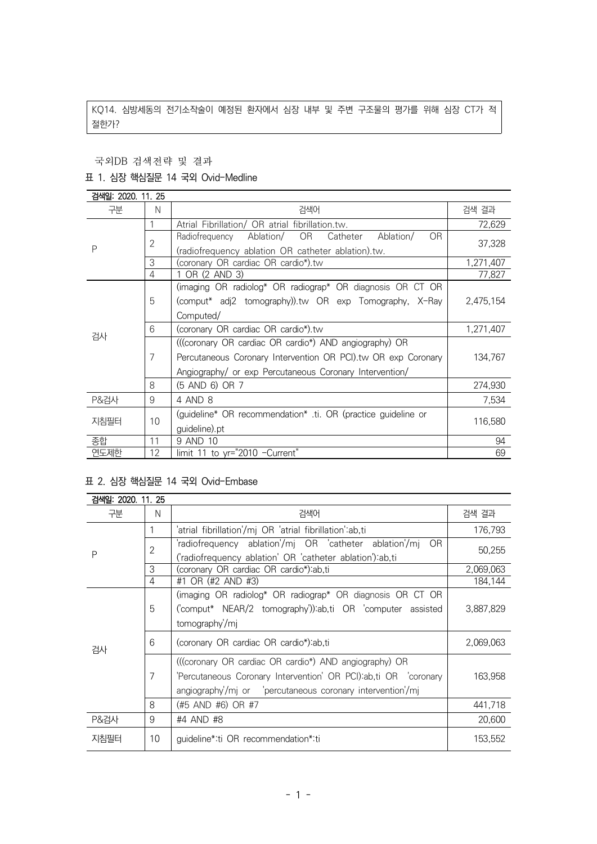KQ14. 심방세동의 전기소작술이 예정된 환자에서 심장 내부 및 주변 구조물의 평가를 위해 심장 CT가 적 절한가?

국외DB 검색전략 및 결과

### 표 1. 심장 핵심질문 14 국외 Ovid-Medline

| 검색일: 2020. 11. 25 |    |                                                               |           |  |
|-------------------|----|---------------------------------------------------------------|-----------|--|
| 구분                | N  | 검색어                                                           | 검색 결과     |  |
| P                 |    | Atrial Fibrillation/ OR atrial fibrillation.tw.               | 72,629    |  |
|                   | 2  | Ablation/ OR Catheter<br>OR.<br>Ablation/<br>Radiofrequency   | 37,328    |  |
|                   |    | (radiofrequency ablation OR catheter ablation).tw.            |           |  |
|                   | 3  | (coronary OR cardiac OR cardio*).tw                           | 1,271,407 |  |
|                   | 4  | 1 OR (2 AND 3)                                                | 77,827    |  |
|                   |    | (imaging OR radiolog* OR radiograp* OR diagnosis OR CT OR     |           |  |
|                   | 5  | (comput* adj2 tomography)).tw OR exp Tomography, X-Ray        | 2,475,154 |  |
|                   |    | Computed/                                                     |           |  |
|                   | 6  | (coronary OR cardiac OR cardio*).tw                           | 1,271,407 |  |
| 검사                |    | (((coronary OR cardiac OR cardio*) AND angiography) OR        |           |  |
|                   | 7  | Percutaneous Coronary Intervention OR PCI).tw OR exp Coronary | 134,767   |  |
|                   |    | Angiography/ or exp Percutaneous Coronary Intervention/       |           |  |
|                   | 8  | (5 AND 6) OR 7                                                | 274,930   |  |
| P&검사              | 9  | 4 AND 8                                                       | 7,534     |  |
| 지침필터              | 10 | (guideline* OR recommendation* .ti. OR (practice guideline or |           |  |
|                   |    | guideline).pt                                                 | 116,580   |  |
| 종합                | 11 | 9 AND 10                                                      | 94        |  |
| 연도제한              | 12 | limit 11 to yr="2010 -Current"                                | 69        |  |

### 표 2. 심장 핵심질문 14 국외 Ovid-Embase

| 검색일: 2020, 11, 25 |    |                                                                 |           |  |
|-------------------|----|-----------------------------------------------------------------|-----------|--|
| 구분                | N  | 검색어                                                             | 검색 결과     |  |
| P                 |    | 'atrial fibrillation'/mj OR 'atrial fibrillation':ab,ti         | 176,793   |  |
|                   | 2  | 'radiofrequency ablation'/mj OR 'catheter ablation'/mj<br>OR.   | 50,255    |  |
|                   |    | ('radiofrequency ablation' OR 'catheter ablation') ab,ti        |           |  |
|                   | 3  | (coronary OR cardiac OR cardio*):ab,ti                          | 2,069,063 |  |
|                   | 4  | #1 OR (#2 AND #3)                                               | 184,144   |  |
| 검사                | 5  | (imaging OR radiolog* OR radiograp* OR diagnosis OR CT OR       |           |  |
|                   |    | ('comput* NEAR/2 tomography')):ab,ti OR 'computer assisted      | 3,887,829 |  |
|                   |    | tomography/mj                                                   |           |  |
|                   | 6  | (coronary OR cardiac OR cardio*) ab, ti                         | 2,069,063 |  |
|                   |    | (((coronary OR cardiac OR cardio*) AND angiography) OR          |           |  |
|                   | 7  | 'Percutaneous Coronary Intervention' OR PCI):ab,ti OR 'coronary | 163,958   |  |
|                   |    |                                                                 |           |  |
|                   | 8  | (#5 AND #6) OR #7                                               | 441,718   |  |
| <b>P&amp;검사</b>   | 9  | #4 AND #8                                                       | 20,600    |  |
| 지침필터              | 10 | guideline*:ti OR recommendation*:ti                             | 153,552   |  |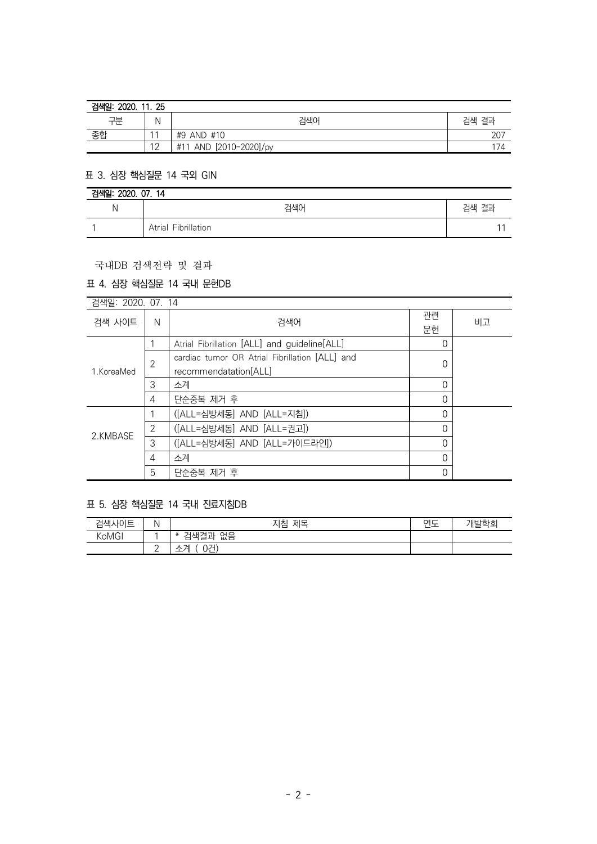| 2020.<br>검색일:<br>11.25 |                  |                                    |       |  |
|------------------------|------------------|------------------------------------|-------|--|
| 구분                     | N                | 검색어                                | 검색 결과 |  |
| 종합                     | $\overline{A}$   | #9 AND #10                         | 207   |  |
|                        | $1^{\circ}$<br>∸ | [2010-2020]/py<br><b>AND</b><br>#1 | 174   |  |

### 표 3. 심장 핵심질문 14 국외 GIN

| 검색일: 2020. 07. 14 |                     |       |  |
|-------------------|---------------------|-------|--|
| N                 | 걱색0                 | 검색 결과 |  |
|                   | Atrial Fibrillation |       |  |

#### 국내DB 검색전략 및 결과

# 표 4. 심장 핵심질문 14 국내 문헌DB

| 검색일: 2020. 07. 14 |                |                                                |    |    |
|-------------------|----------------|------------------------------------------------|----|----|
| 검색 사이트            | N              | 검색어                                            | 관련 | 비고 |
|                   |                |                                                | 문헌 |    |
| 1. KoreaMed       |                | Atrial Fibrillation [ALL] and guideline[ALL]   | C  |    |
|                   | $\overline{2}$ | cardiac tumor OR Atrial Fibrillation [ALL] and |    |    |
|                   |                | recommendatation[ALL]                          | C  |    |
|                   | 3              | 소계                                             | 0  |    |
|                   | 4              | 단순중복 제거 후                                      | 0  |    |
| 2.KMBASE          |                | ([ALL=심방세동] AND [ALL=지침])                      | 0  |    |
|                   | $\overline{2}$ | ([ALL=심방세동] AND [ALL=권고])                      | 0  |    |
|                   | 3              | ([ALL=심방세동] AND [ALL=가이드라인])                   | 0  |    |
|                   | 4              | 소계                                             | 0  |    |
|                   | 5              | 단순중복 제거 후                                      | 0  |    |

# 표 5. 심장 핵심질문 14 국내 진료지침DB

| 검색사이트 |   | 제목<br>지침                              | $\sim$ $-$<br>_ | 개발학회 |
|-------|---|---------------------------------------|-----------------|------|
| KoMGI |   | 없음<br>ו — נ — ו<br>-<br>$\ast$<br>1АР |                 |      |
|       | - | 0건)<br>741<br>└                       |                 |      |